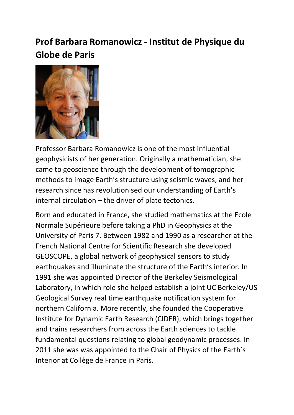## **Prof Barbara Romanowicz - Institut de Physique du Globe de Paris**



Professor Barbara Romanowicz is one of the most influential geophysicists of her generation. Originally a mathematician, she came to geoscience through the development of tomographic methods to image Earth's structure using seismic waves, and her research since has revolutionised our understanding of Earth's internal circulation – the driver of plate tectonics.

Born and educated in France, she studied mathematics at the Ecole Normale Supérieure before taking a PhD in Geophysics at the University of Paris 7. Between 1982 and 1990 as a researcher at the French National Centre for Scientific Research she developed GEOSCOPE, a global network of geophysical sensors to study earthquakes and illuminate the structure of the Earth's interior. In 1991 she was appointed Director of the Berkeley Seismological Laboratory, in which role she helped establish a joint UC Berkeley/US Geological Survey real time earthquake notification system for northern California. More recently, she founded the Cooperative Institute for Dynamic Earth Research (CIDER), which brings together and trains researchers from across the Earth sciences to tackle fundamental questions relating to global geodynamic processes. In 2011 she was was appointed to the Chair of Physics of the Earth's Interior at Collège de France in Paris.